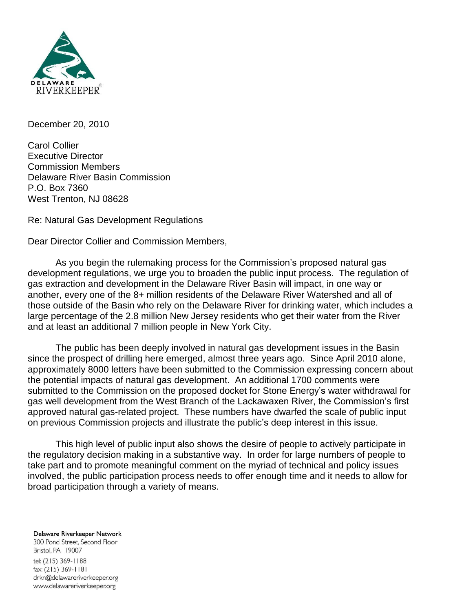

December 20, 2010

Carol Collier Executive Director Commission Members Delaware River Basin Commission P.O. Box 7360 West Trenton, NJ 08628

Re: Natural Gas Development Regulations

Dear Director Collier and Commission Members,

As you begin the rulemaking process for the Commission's proposed natural gas development regulations, we urge you to broaden the public input process. The regulation of gas extraction and development in the Delaware River Basin will impact, in one way or another, every one of the 8+ million residents of the Delaware River Watershed and all of those outside of the Basin who rely on the Delaware River for drinking water, which includes a large percentage of the 2.8 million New Jersey residents who get their water from the River and at least an additional 7 million people in New York City.

The public has been deeply involved in natural gas development issues in the Basin since the prospect of drilling here emerged, almost three years ago. Since April 2010 alone, approximately 8000 letters have been submitted to the Commission expressing concern about the potential impacts of natural gas development. An additional 1700 comments were submitted to the Commission on the proposed docket for Stone Energy's water withdrawal for gas well development from the West Branch of the Lackawaxen River, the Commission's first approved natural gas-related project. These numbers have dwarfed the scale of public input on previous Commission projects and illustrate the public's deep interest in this issue.

This high level of public input also shows the desire of people to actively participate in the regulatory decision making in a substantive way. In order for large numbers of people to take part and to promote meaningful comment on the myriad of technical and policy issues involved, the public participation process needs to offer enough time and it needs to allow for broad participation through a variety of means.

Delaware Riverkeeper Network 300 Pond Street, Second Floor Bristol, PA 19007 tel: (215) 369-1188 fax: (215) 369-1181 drkn@delawareriverkeeper.org www.delawareriverkeeper.org